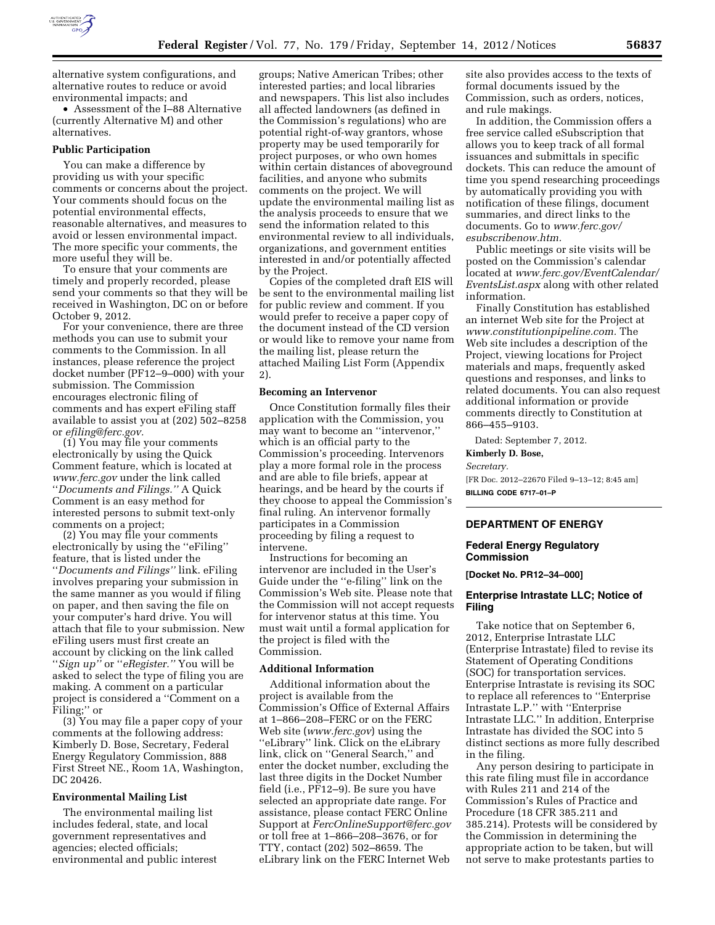

alternative system configurations, and alternative routes to reduce or avoid environmental impacts; and

• Assessment of the I–88 Alternative (currently Alternative M) and other alternatives.

#### **Public Participation**

You can make a difference by providing us with your specific comments or concerns about the project. Your comments should focus on the potential environmental effects, reasonable alternatives, and measures to avoid or lessen environmental impact. The more specific your comments, the more useful they will be.

To ensure that your comments are timely and properly recorded, please send your comments so that they will be received in Washington, DC on or before October 9, 2012.

For your convenience, there are three methods you can use to submit your comments to the Commission. In all instances, please reference the project docket number (PF12–9–000) with your submission. The Commission encourages electronic filing of comments and has expert eFiling staff available to assist you at (202) 502–8258 or *[efiling@ferc.gov.](mailto:efiling@ferc.gov)* 

(1) You may file your comments electronically by using the Quick Comment feature, which is located at *[www.ferc.gov](http://www.ferc.gov)* under the link called ''*Documents and Filings.''* A Quick Comment is an easy method for interested persons to submit text-only comments on a project;

(2) You may file your comments electronically by using the ''eFiling'' feature, that is listed under the ''*Documents and Filings''* link. eFiling involves preparing your submission in the same manner as you would if filing on paper, and then saving the file on your computer's hard drive. You will attach that file to your submission. New eFiling users must first create an account by clicking on the link called ''*Sign up''* or ''*eRegister.''* You will be asked to select the type of filing you are making. A comment on a particular project is considered a ''Comment on a Filing;'' or

(3) You may file a paper copy of your comments at the following address: Kimberly D. Bose, Secretary, Federal Energy Regulatory Commission, 888 First Street NE., Room 1A, Washington, DC 20426.

#### **Environmental Mailing List**

The environmental mailing list includes federal, state, and local government representatives and agencies; elected officials; environmental and public interest

groups; Native American Tribes; other interested parties; and local libraries and newspapers. This list also includes all affected landowners (as defined in the Commission's regulations) who are potential right-of-way grantors, whose property may be used temporarily for project purposes, or who own homes within certain distances of aboveground facilities, and anyone who submits comments on the project. We will update the environmental mailing list as the analysis proceeds to ensure that we send the information related to this environmental review to all individuals, organizations, and government entities interested in and/or potentially affected by the Project.

Copies of the completed draft EIS will be sent to the environmental mailing list for public review and comment. If you would prefer to receive a paper copy of the document instead of the CD version or would like to remove your name from the mailing list, please return the attached Mailing List Form (Appendix 2).

#### **Becoming an Intervenor**

Once Constitution formally files their application with the Commission, you may want to become an ''intervenor,'' which is an official party to the Commission's proceeding. Intervenors play a more formal role in the process and are able to file briefs, appear at hearings, and be heard by the courts if they choose to appeal the Commission's final ruling. An intervenor formally participates in a Commission proceeding by filing a request to intervene.

Instructions for becoming an intervenor are included in the User's Guide under the ''e-filing'' link on the Commission's Web site. Please note that the Commission will not accept requests for intervenor status at this time. You must wait until a formal application for the project is filed with the Commission.

### **Additional Information**

Additional information about the project is available from the Commission's Office of External Affairs at 1–866–208–FERC or on the FERC Web site (*[www.ferc.gov](http://www.ferc.gov)*) using the ''eLibrary'' link. Click on the eLibrary link, click on ''General Search,'' and enter the docket number, excluding the last three digits in the Docket Number field (i.e., PF12–9). Be sure you have selected an appropriate date range. For assistance, please contact FERC Online Support at *[FercOnlineSupport@ferc.gov](mailto:FercOnlineSupport@ferc.gov)*  or toll free at 1–866–208–3676, or for TTY, contact (202) 502–8659. The eLibrary link on the FERC Internet Web

site also provides access to the texts of formal documents issued by the Commission, such as orders, notices, and rule makings.

In addition, the Commission offers a free service called eSubscription that allows you to keep track of all formal issuances and submittals in specific dockets. This can reduce the amount of time you spend researching proceedings by automatically providing you with notification of these filings, document summaries, and direct links to the documents. Go to *[www.ferc.gov/](http://www.ferc.gov/esubscribenow.htm)  [esubscribenow.htm.](http://www.ferc.gov/esubscribenow.htm)* 

Public meetings or site visits will be posted on the Commission's calendar located at *[www.ferc.gov/EventCalendar/](http://www.ferc.gov/EventCalendar/EventsList.aspx)  [EventsList.aspx](http://www.ferc.gov/EventCalendar/EventsList.aspx)* along with other related information.

Finally Constitution has established an internet Web site for the Project at *[www.constitutionpipeline.com.](http://www.constitutionpipeline.com)* The Web site includes a description of the Project, viewing locations for Project materials and maps, frequently asked questions and responses, and links to related documents. You can also request additional information or provide comments directly to Constitution at 866–455–9103.

Dated: September 7, 2012.

#### **Kimberly D. Bose,**

*Secretary.* 

[FR Doc. 2012–22670 Filed 9–13–12; 8:45 am] **BILLING CODE 6717–01–P** 

#### **DEPARTMENT OF ENERGY**

### **Federal Energy Regulatory Commission**

**[Docket No. PR12–34–000]** 

### **Enterprise Intrastate LLC; Notice of Filing**

Take notice that on September 6, 2012, Enterprise Intrastate LLC (Enterprise Intrastate) filed to revise its Statement of Operating Conditions (SOC) for transportation services. Enterprise Intrastate is revising its SOC to replace all references to ''Enterprise Intrastate L.P.'' with ''Enterprise Intrastate LLC.'' In addition, Enterprise Intrastate has divided the SOC into 5 distinct sections as more fully described in the filing.

Any person desiring to participate in this rate filing must file in accordance with Rules 211 and 214 of the Commission's Rules of Practice and Procedure (18 CFR 385.211 and 385.214). Protests will be considered by the Commission in determining the appropriate action to be taken, but will not serve to make protestants parties to